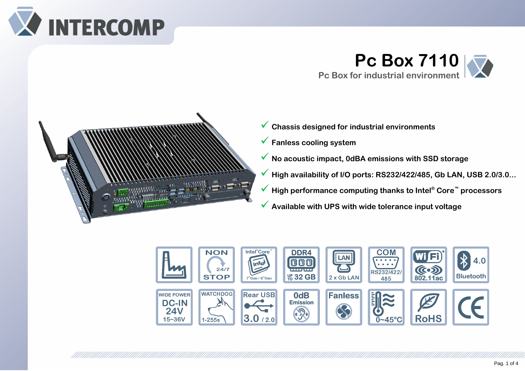

**Pc Box 7110 Pc Box for industrial environment** 



✓ **Chassis designed for industrial environments** ✓ **Fanless cooling system**  ✓ **No acoustic impact, 0dBA emissions with SSD storage** ✓ **High availability of I/O ports: RS232/422/485, Gb LAN, USB 2.0/3.0...** ✓ **High performance computing thanks to Intel® Core™ processors** ✓ **Available with UPS with wide tolerance input voltage**

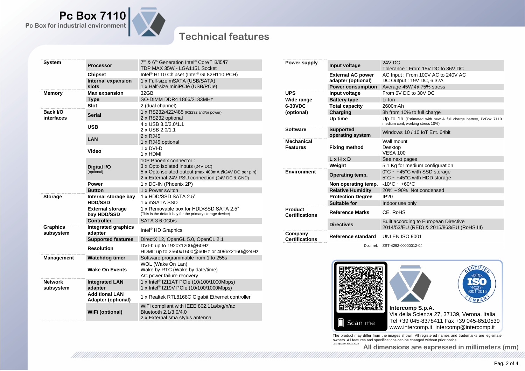

## **Technical features**

| <b>System</b>                | Processor                                          | 7 <sup>th</sup> & 6 <sup>th</sup> Generation Intel <sup>®</sup> Core™ i3/i5/i7<br>TDP MAX 35W - LGA1151 Socket                                                        |
|------------------------------|----------------------------------------------------|-----------------------------------------------------------------------------------------------------------------------------------------------------------------------|
|                              | <b>Chipset</b>                                     | Intel <sup>®</sup> H110 Chipset (Intel <sup>®</sup> GL82H110 PCH)                                                                                                     |
|                              | <b>Internal expansion</b><br>slots                 | 1 x Full-size mSATA (USB/SATA)<br>1 x Half-size miniPCle (USB/PCle)                                                                                                   |
| <b>Memory</b>                | <b>Max expansion</b>                               | 32GB                                                                                                                                                                  |
|                              | <b>Type</b>                                        | SO-DIMM DDR4 1866/2133MHz                                                                                                                                             |
|                              | Slot                                               | 2 (dual channel)                                                                                                                                                      |
| Back I/O<br>interfaces       | <b>Serial</b>                                      | 1 x RS232/422/485 (RS232 and/or power)<br>2 x RS232 optional                                                                                                          |
|                              | <b>USB</b>                                         | 4 x USB 3.0/2.0/1.1<br>2 x USB 2.0/1.1                                                                                                                                |
|                              | LAN                                                | 2 x RJ45<br>1 x RJ45 optional                                                                                                                                         |
|                              | Video                                              | 1 x DVI-D<br>1 x HDMI                                                                                                                                                 |
|                              | Digital I/O<br>(optional)                          | 10P Phoenix connector:<br>3 x Opto isolated inputs (24V DC)<br>5 x Opto isolated output (max 400mA @24V DC per pin)<br>2 x External 24V PSU connection (24V DC & GND) |
|                              | Power                                              | 1 x DC-IN (Phoenix 2P)                                                                                                                                                |
|                              | <b>Button</b>                                      | 1 x Power switch                                                                                                                                                      |
| <b>Storage</b>               | Internal storage bay<br><b>HDD/SSD</b>             | 1 x HDD/SSD SATA 2.5"<br>1 x mSATA SSD                                                                                                                                |
|                              | <b>External storage</b><br>bay HDD/SSD             | 1 x Removable box for HDD/SSD SATA 2.5"<br>(This is the default bay for the primary storage device)                                                                   |
|                              | <b>Controller</b>                                  | SATA 36.0Gb/s                                                                                                                                                         |
| <b>Graphics</b><br>subsystem | Integrated graphics<br>adapter                     | Intel <sup>®</sup> HD Graphics                                                                                                                                        |
|                              | <b>Supported features</b>                          | DirectX 12, OpenGL 5.0, OpenCL 2.1                                                                                                                                    |
|                              | <b>Resolution</b>                                  | DVI-I: up to 1920x1200@60Hz<br>HDMI: up to 2560x1600@60Hz or 4096x2160@24Hz                                                                                           |
| <b>Management</b>            | <b>Watchdog timer</b>                              | Software programmable from 1 to 255s                                                                                                                                  |
|                              | <b>Wake On Events</b>                              | WOL (Wake On Lan)<br>Wake by RTC (Wake by date/time)<br>AC power failure recovery                                                                                     |
| <b>Network</b><br>subsystem  | <b>Integrated LAN</b><br>adapter                   | 1 x Intel <sup>®</sup> I211AT PCIe (10/100/1000Mbps)<br>1 x Intel <sup>®</sup> I219V PCIe (10/100/1000Mbps)                                                           |
|                              | <b>Additional LAN</b><br><b>Adapter (optional)</b> | 1 x Realtek RTL8168C Gigabit Ethernet controller                                                                                                                      |
|                              | WiFi (optional)                                    | WiFi compliant with IEEE 802.11a/b/g/n/ac<br>Bluetooth 2.1/3.0/4.0<br>2 x External sma stylus antenna                                                                 |

| Power supply                        | Input voltage                        | <b>24V DC</b><br>Tolerance: From 15V DC to 36V DC                                                      |
|-------------------------------------|--------------------------------------|--------------------------------------------------------------------------------------------------------|
|                                     | <b>External AC power</b>             | AC Input: From 100V AC to 240V AC                                                                      |
|                                     | adapter (optional)                   | DC Output: 19V DC, 6.32A                                                                               |
|                                     | <b>Power consumption</b>             | Average 45W @ 75% stress                                                                               |
| <b>UPS</b>                          | Input voltage                        | From 6V DC to 30V DC                                                                                   |
| Wide range<br>6-30VDC<br>(optional) | <b>Battery type</b>                  | Li-Ion                                                                                                 |
|                                     | <b>Total capacity</b>                | 2600mAh                                                                                                |
|                                     | <b>Charging</b>                      | 3h from 10% to full charge                                                                             |
|                                     | Up time                              | Up to 1h (Estimated with new & full charge battery, PcBox 7110<br>medium conf, working stress 10%)     |
| <b>Software</b>                     | <b>Supported</b><br>operating system | Windows 10 / 10 IoT Ent. 64bit                                                                         |
| <b>Mechanical</b>                   |                                      | Wall mount                                                                                             |
| <b>Features</b>                     | <b>Fixing method</b>                 | Desktop<br><b>VESA 100</b>                                                                             |
|                                     | $L \times H \times D$                | See next pages                                                                                         |
|                                     | Weight                               | 5.1 Kg for medium configuration                                                                        |
| <b>Environment</b>                  | Operating temp.                      | $0^{\circ}$ C ~ +45 $^{\circ}$ C with SSD storage<br>$5^{\circ}$ C ~ +45 $^{\circ}$ C with HDD storage |
|                                     | Non operating temp.                  | $-10^{\circ}$ C ~ +60 $^{\circ}$ C                                                                     |
|                                     | <b>Relative Humidity</b>             | $20\% \sim 90\%$ Not condensed                                                                         |
|                                     | <b>Protection Degree</b>             | <b>IP20</b>                                                                                            |
|                                     | Suitable for                         | Indoor use only                                                                                        |
| Product<br><b>Certifications</b>    | <b>Reference Marks</b>               | CE. RoHS                                                                                               |
|                                     | <b>Directives</b>                    | Built according to European Directive<br>2014/53/EU (RED) & 2015/863/EU (RoHS III)                     |
| Company<br><b>Certifications</b>    | Reference standard                   | <b>UNI EN ISO 9001</b>                                                                                 |
|                                     |                                      | Doc. ref. ZST-4292-00000012-04                                                                         |



The product may differ from the images shown. All registered names and trademarks are legitimate<br>owners. All features and specifications can be changed without prior notice.<br>Last update 31/03/2022

**All dimensions are expressed in millimeters (mm)**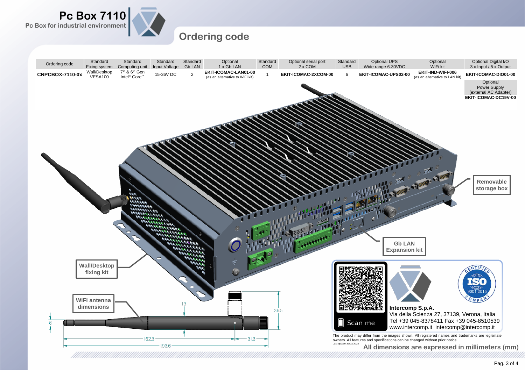

## **Ordering code**